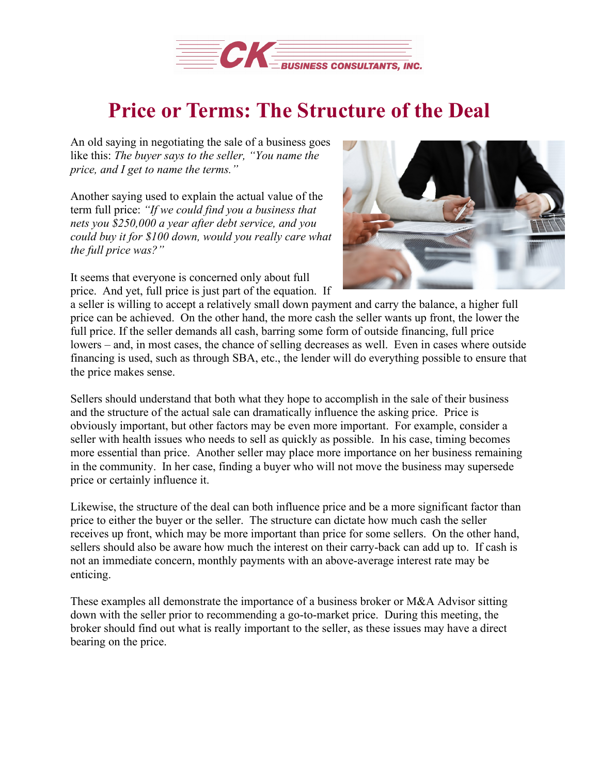

## **Price or Terms: The Structure of the Deal**

An old saying in negotiating the sale of a business goes like this: *The buyer says to the seller, "You name the price, and I get to name the terms."*

Another saying used to explain the actual value of the term full price: *"If we could find you a business that nets you \$250,000 a year after debt service, and you could buy it for \$100 down, would you really care what the full price was?"*

It seems that everyone is concerned only about full price. And yet, full price is just part of the equation. If



a seller is willing to accept a relatively small down payment and carry the balance, a higher full price can be achieved. On the other hand, the more cash the seller wants up front, the lower the full price. If the seller demands all cash, barring some form of outside financing, full price lowers – and, in most cases, the chance of selling decreases as well. Even in cases where outside financing is used, such as through SBA, etc., the lender will do everything possible to ensure that the price makes sense.

Sellers should understand that both what they hope to accomplish in the sale of their business and the structure of the actual sale can dramatically influence the asking price. Price is obviously important, but other factors may be even more important. For example, consider a seller with health issues who needs to sell as quickly as possible. In his case, timing becomes more essential than price. Another seller may place more importance on her business remaining in the community. In her case, finding a buyer who will not move the business may supersede price or certainly influence it.

Likewise, the structure of the deal can both influence price and be a more significant factor than price to either the buyer or the seller. The structure can dictate how much cash the seller receives up front, which may be more important than price for some sellers. On the other hand, sellers should also be aware how much the interest on their carry-back can add up to. If cash is not an immediate concern, monthly payments with an above-average interest rate may be enticing.

These examples all demonstrate the importance of a business broker or M&A Advisor sitting down with the seller prior to recommending a go-to-market price. During this meeting, the broker should find out what is really important to the seller, as these issues may have a direct bearing on the price.